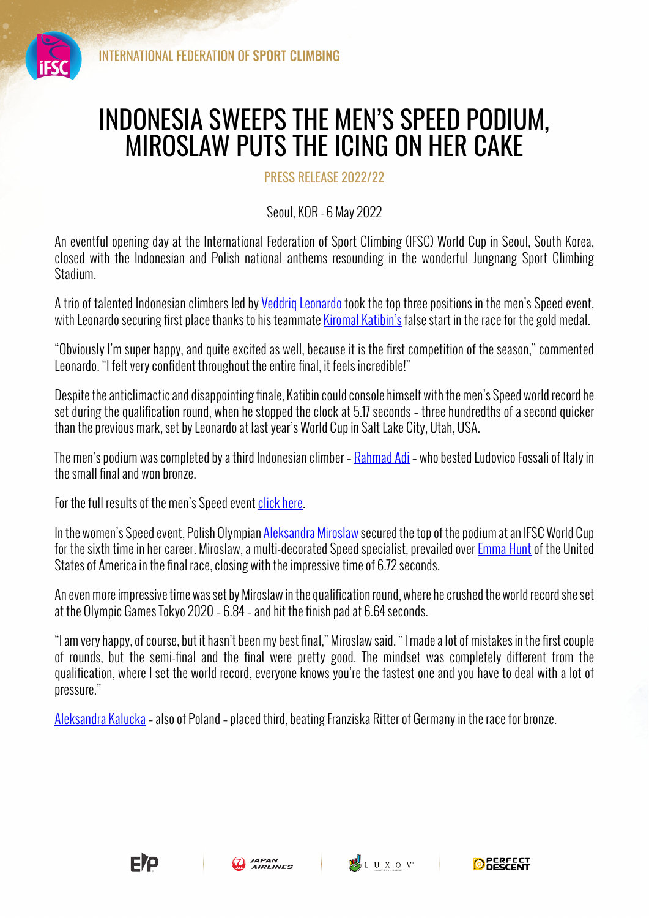

## INDONESIA SWEEPS THE MEN'S SPEED PODIUM, MIROSLAW PUTS THE ICING ON HER CAKE

PRESS RELEASE 2022/22

Seoul, KOR - 6 May 2022

An eventful opening day at the International Federation of Sport Climbing (IFSC) World Cup in Seoul, South Korea, closed with the Indonesian and Polish national anthems resounding in the wonderful Jungnang Sport Climbing Stadium.

A trio of talented Indonesian climbers led by Veddrig Leonardo took the top three positions in the men's Speed event, with Leonardo securing first place thanks to his teammate Kiromal Katibin's false start in the race for the gold medal.

"Obviously I'm super happy, and quite excited as well, because it is the first competition of the season," commented Leonardo. "I felt very confident throughout the entire final, it feels incredible!"

Despite the anticlimactic and disappointing finale, Katibin could console himself with the men's Speed world record he set during the qualification round, when he stopped the clock at 5.17 seconds – three hundredths of a second quicker than the previous mark, set by Leonardo at last year's World Cup in Salt Lake City, Utah, USA.

The men's podium was completed by a third Indonesian climber – Rahmad Adi– who bested Ludovico Fossali of Italy in the small final and won bronze.

For the full results of the men's Speed event click here.

In the women's Speed event, Polish Olympian Aleksandra Miroslaw secured the top of the podium at an IFSC World Cup for the sixth time in her career. Miroslaw, a multi-decorated Speed specialist, prevailed over Emma Hunt of the United States of America in the final race, closing with the impressive time of 6.72 seconds.

An even more impressive time was set by Miroslaw in the qualification round, where he crushed the world record she set at the Olympic Games Tokyo 2020 – 6.84 – and hit the finish pad at 6.64 seconds.

"I am very happy, of course, but it hasn't been my best final," Miroslaw said. " I made a lot of mistakes in the first couple of rounds, but the semi-final and the final were pretty good. The mindset was completely different from the qualification, where I set the world record, everyone knows you're the fastest one and you have to deal with a lot of pressure."

Aleksandra Kalucka – also of Poland – placed third, beating Franziska Ritter of Germany in the race for bronze.